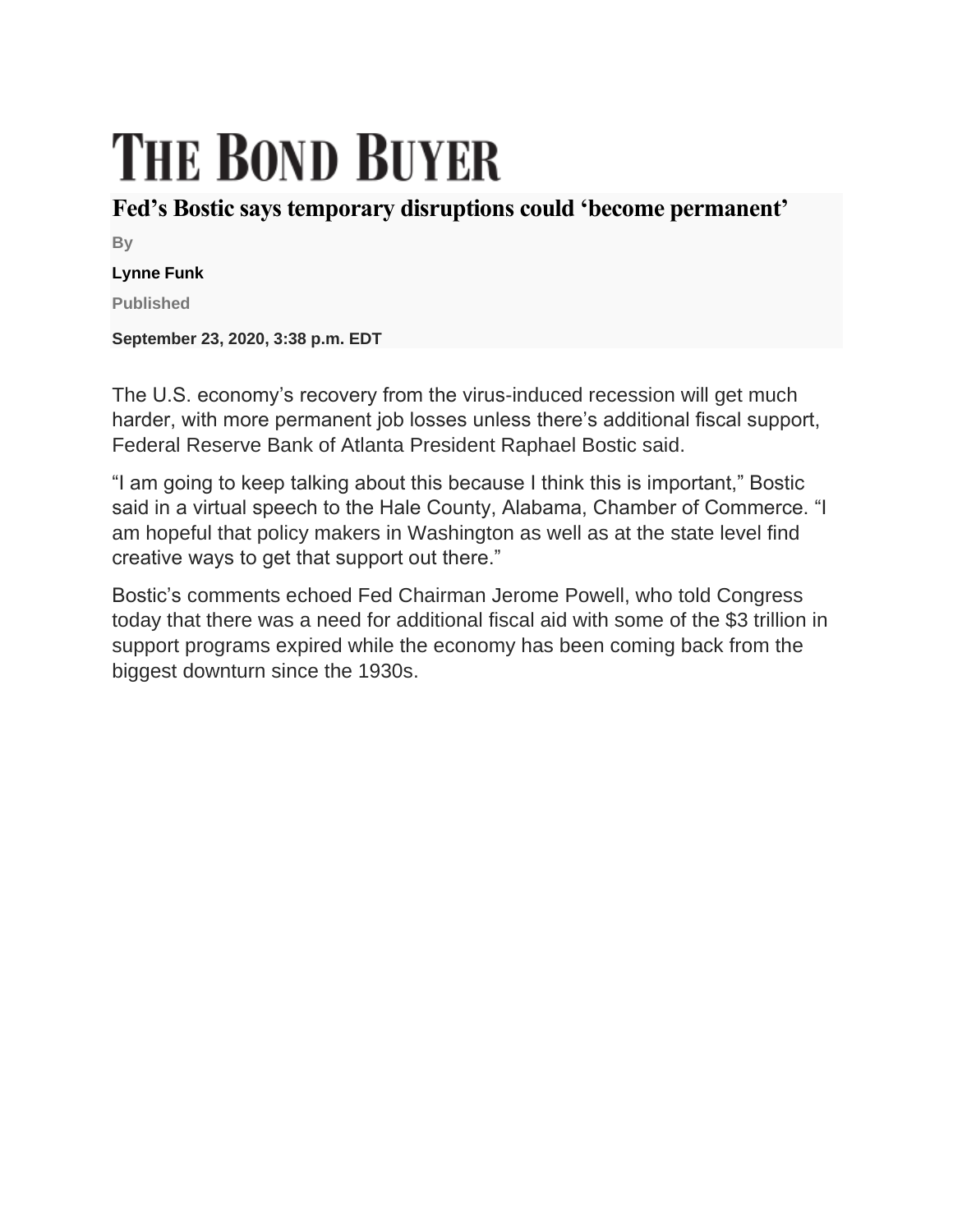## **THE BOND BUYER**

## **Fed's Bostic says temporary disruptions could 'become permanent'**

**By**

## **Lynne Funk**

**Published**

**September 23, 2020, 3:38 p.m. EDT**

The U.S. economy's recovery from the virus-induced recession will get much harder, with more permanent job losses unless there's additional fiscal support, Federal Reserve Bank of Atlanta President Raphael Bostic said.

"I am going to keep talking about this because I think this is important," Bostic said in a virtual speech to the Hale County, Alabama, Chamber of Commerce. "I am hopeful that policy makers in Washington as well as at the state level find creative ways to get that support out there."

Bostic's comments echoed Fed Chairman Jerome Powell, who told Congress today that there was a need for additional fiscal aid with some of the \$3 trillion in support programs expired while the economy has been coming back from the biggest downturn since the 1930s.